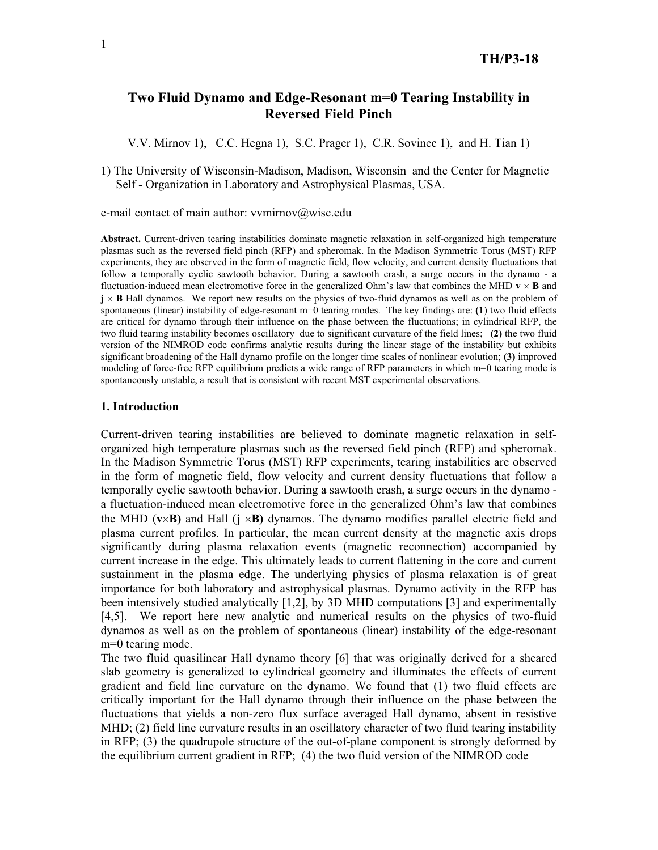# **Two Fluid Dynamo and Edge-Resonant m=0 Tearing Instability in Reversed Field Pinch**

V.V. Mirnov 1), C.C. Hegna 1), S.C. Prager 1), C.R. Sovinec 1), and H. Tian 1)

1) The University of Wisconsin-Madison, Madison, Wisconsin and the Center for Magnetic Self - Organization in Laboratory and Astrophysical Plasmas, USA.

e-mail contact of main author: vvmirnov@wisc.edu

**Abstract.** Current-driven tearing instabilities dominate magnetic relaxation in self-organized high temperature plasmas such as the reversed field pinch (RFP) and spheromak. In the Madison Symmetric Torus (MST) RFP experiments, they are observed in the form of magnetic field, flow velocity, and current density fluctuations that follow a temporally cyclic sawtooth behavior. During a sawtooth crash, a surge occurs in the dynamo - a fluctuation-induced mean electromotive force in the generalized Ohm's law that combines the MHD  $\mathbf{v} \times \mathbf{B}$  and  $\mathbf{j} \times \mathbf{B}$  Hall dynamos. We report new results on the physics of two-fluid dynamos as well as on the problem of spontaneous (linear) instability of edge-resonant m=0 tearing modes. The key findings are: **(1**) two fluid effects are critical for dynamo through their influence on the phase between the fluctuations; in cylindrical RFP, the two fluid tearing instability becomes oscillatory due to significant curvature of the field lines; **(2)** the two fluid version of the NIMROD code confirms analytic results during the linear stage of the instability but exhibits significant broadening of the Hall dynamo profile on the longer time scales of nonlinear evolution; **(3)** improved modeling of force-free RFP equilibrium predicts a wide range of RFP parameters in which m=0 tearing mode is spontaneously unstable, a result that is consistent with recent MST experimental observations.

## **1. Introduction**

Current-driven tearing instabilities are believed to dominate magnetic relaxation in selforganized high temperature plasmas such as the reversed field pinch (RFP) and spheromak. In the Madison Symmetric Torus (MST) RFP experiments, tearing instabilities are observed in the form of magnetic field, flow velocity and current density fluctuations that follow a temporally cyclic sawtooth behavior. During a sawtooth crash, a surge occurs in the dynamo a fluctuation-induced mean electromotive force in the generalized Ohm's law that combines the MHD ( $v \times B$ ) and Hall ( $\mathbf{i} \times B$ ) dynamos. The dynamo modifies parallel electric field and plasma current profiles. In particular, the mean current density at the magnetic axis drops significantly during plasma relaxation events (magnetic reconnection) accompanied by current increase in the edge. This ultimately leads to current flattening in the core and current sustainment in the plasma edge. The underlying physics of plasma relaxation is of great importance for both laboratory and astrophysical plasmas. Dynamo activity in the RFP has been intensively studied analytically [1,2], by 3D MHD computations [3] and experimentally [4,5]. We report here new analytic and numerical results on the physics of two-fluid dynamos as well as on the problem of spontaneous (linear) instability of the edge-resonant m=0 tearing mode.

The two fluid quasilinear Hall dynamo theory [6] that was originally derived for a sheared slab geometry is generalized to cylindrical geometry and illuminates the effects of current gradient and field line curvature on the dynamo. We found that (1) two fluid effects are critically important for the Hall dynamo through their influence on the phase between the fluctuations that yields a non-zero flux surface averaged Hall dynamo, absent in resistive MHD; (2) field line curvature results in an oscillatory character of two fluid tearing instability in RFP; (3) the quadrupole structure of the out-of-plane component is strongly deformed by the equilibrium current gradient in RFP; (4) the two fluid version of the NIMROD code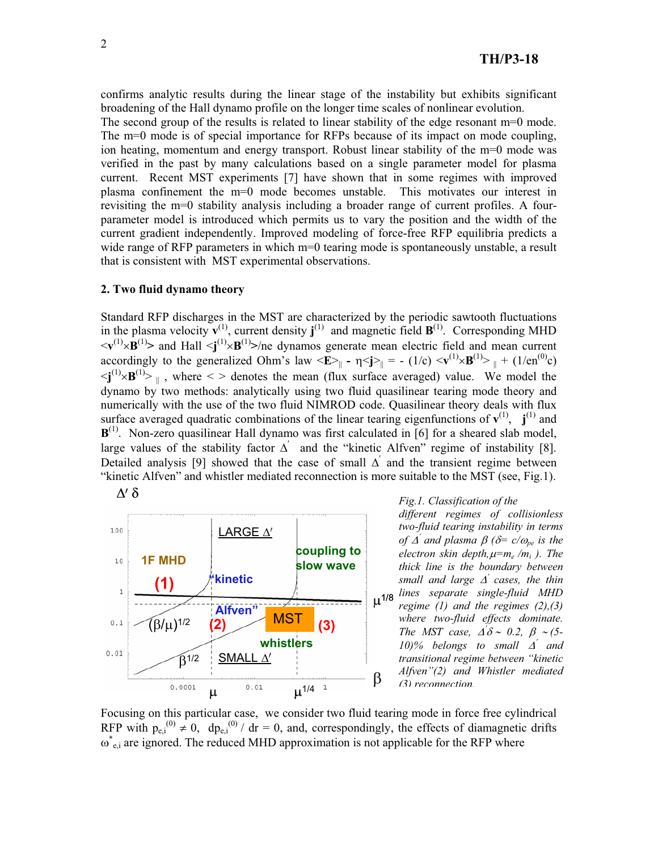confirms analytic results during the linear stage of the instability but exhibits significant broadening of the Hall dynamo profile on the longer time scales of nonlinear evolution.

The second group of the results is related to linear stability of the edge resonant m=0 mode. The m=0 mode is of special importance for RFPs because of its impact on mode coupling, ion heating, momentum and energy transport. Robust linear stability of the m=0 mode was verified in the past by many calculations based on a single parameter model for plasma current. Recent MST experiments [7] have shown that in some regimes with improved plasma confinement the m=0 mode becomes unstable. This motivates our interest in revisiting the m=0 stability analysis including a broader range of current profiles. A fourparameter model is introduced which permits us to vary the position and the width of the current gradient independently. Improved modeling of force-free RFP equilibria predicts a wide range of RFP parameters in which m=0 tearing mode is spontaneously unstable, a result that is consistent with MST experimental observations.

#### **2. Two fluid dynamo theory**

Standard RFP discharges in the MST are characterized by the periodic sawtooth fluctuations in the plasma velocity  $\mathbf{v}^{(1)}$ , current density  $\mathbf{j}^{(1)}$  and magnetic field  $\mathbf{B}^{(1)}$ . Corresponding MHD  $\langle \mathbf{v}^{(1)} \times \mathbf{B}^{(1)} \rangle$  and Hall  $\langle \mathbf{j}^{(1)} \times \mathbf{B}^{(1)} \rangle$ /ne dynamos generate mean electric field and mean current accordingly to the generalized Ohm's law  $\langle \mathbf{E} \rangle_{\parallel}$  -  $\eta \langle \mathbf{j} \rangle_{\parallel}$  = - (1/c)  $\langle \mathbf{v}^{(1)} \times \mathbf{B}^{(1)} \rangle_{\parallel}$  + (1/en<sup>(0)</sup>c)  $\langle \mathbf{j}^{(1)} \times \mathbf{B}^{(1)} \rangle$  , where  $\langle \rangle$  denotes the mean (flux surface averaged) value. We model the dynamo by two methods: analytically using two fluid quasilinear tearing mode theory and numerically with the use of the two fluid NIMROD code. Quasilinear theory deals with flux surface averaged quadratic combinations of the linear tearing eigenfunctions of  $v^{(1)}$ ,  $j^{(1)}$  and **B**<sup>(1)</sup>. Non-zero quasilinear Hall dynamo was first calculated in [6] for a sheared slab model, large values of the stability factor  $\Delta'$  and the "kinetic Alfven" regime of instability [8]. Detailed analysis [9] showed that the case of small  $\Delta'$  and the transient regime between "kinetic Alfven" and whistler mediated reconnection is more suitable to the MST (see, Fig.1).

> **coupling to slow wave**

> > **(2) (3)**



 $(\beta/\mu)^{1/2}$ 

 $0.1$ 

 $0.01$ 

 $B^{1/2}$ 

 $0.0001$ 

SMALL  $\Delta'$ 

**whistlers**

MST

 $\mu$  <sup>0.01</sup>  $\mu^{1/4}$ <sup>1</sup>

**Alfven"**

*Fig.1. Classification of the* 

*different regimes of collisionless two-fluid tearing instability in terms of*  $\Delta'$  and plasma  $\beta$  ( $\delta$ = c/ $\omega_{pe}$  is the *electron skin depth,* $\mu = m_e / m_i$  *). The thick line is the boundary between small and large* '<sup>c</sup>  *cases, the thin lines separate single-fluid MHD regime (1) and the regimes (2),(3) where two-fluid effects dominate. The MST case,*  $\Delta' \delta \sim 0.2$ ,  $\beta \sim (5$ - $10\%$  belongs to small  $\Delta'$  and *transitional regime between "kinetic Alfven"(2) and Whistler mediated (3) reconnection.*  $\mu^{1/8}$ 

Focusing on this particular case, we consider two fluid tearing mode in force free cylindrical RFP with  $p_{e,i}^{(0)} \neq 0$ ,  $dp_{e,i}^{(0)}/dr = 0$ , and, correspondingly, the effects of diamagnetic drifts  $\omega^*_{e,i}$  are ignored. The reduced MHD approximation is not applicable for the RFP where

 $\beta$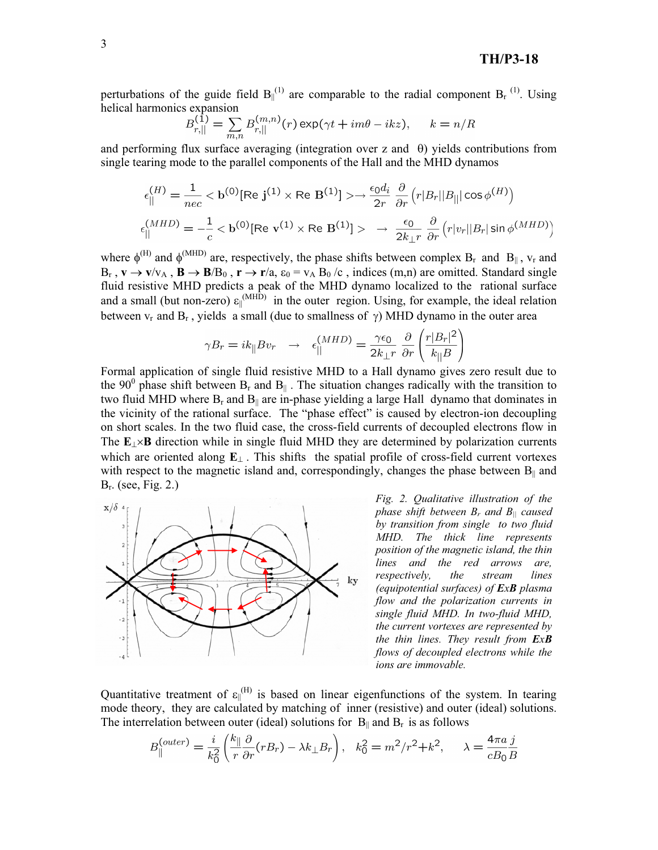perturbations of the guide field  $B_{\parallel}^{(1)}$  are comparable to the radial component  $B_r^{(1)}$ . Using helical harmonics expansion

$$
B_{r,||}^{(1)} = \sum_{m,n} B_{r,||}^{(m,n)}(r) \exp(\gamma t + im\theta - ikz), \quad k = n/R
$$

and performing flux surface averaging (integration over z and  $\theta$ ) yields contributions from single tearing mode to the parallel components of the Hall and the MHD dynamos

$$
\epsilon_{\parallel}^{(H)} = \frac{1}{nec} < \mathbf{b}^{(0)}[\text{Re } \mathbf{j}^{(1)} \times \text{Re } \mathbf{B}^{(1)}] > \rightarrow \frac{\epsilon_0 d_i}{2r} \frac{\partial}{\partial r} \left( r|B_r||B_{||}|\cos\phi^{(H)} \right)
$$
\n
$$
\epsilon_{\parallel}^{(MHD)} = -\frac{1}{c} < \mathbf{b}^{(0)}[\text{Re } \mathbf{v}^{(1)} \times \text{Re } \mathbf{B}^{(1)}] > \rightarrow \frac{\epsilon_0}{2k_{\perp}r} \frac{\partial}{\partial r} \left( r|v_r||B_r|\sin\phi^{(MHD)} \right)
$$

where  $\phi^{(H)}$  and  $\phi^{(MHD)}$  are, respectively, the phase shifts between complex B<sub>r</sub> and B<sub>||</sub>, v<sub>r</sub> and  $B_r$ ,  $\mathbf{v} \to \mathbf{v}/v_A$ ,  $\mathbf{B} \to \mathbf{B}/B_0$ ,  $\mathbf{r} \to \mathbf{r}/a$ ,  $\varepsilon_0 = v_A B_0/c$ , indices (m,n) are omitted. Standard single fluid resistive MHD predicts a peak of the MHD dynamo localized to the rational surface and a small (but non-zero)  $\varepsilon_{\parallel}^{(MHD)}$  in the outer region. Using, for example, the ideal relation between  $v_r$  and  $B_r$ , yields a small (due to smallness of  $\gamma$ ) MHD dynamo in the outer area

$$
\gamma B_r = i k_{\parallel} B v_r \rightarrow \epsilon_{||}^{(MHD)} = \frac{\gamma \epsilon_0}{2k_{\perp} r} \frac{\partial}{\partial r} \left(\frac{r|B_r|^2}{k_{\parallel} B}\right)
$$

Formal application of single fluid resistive MHD to a Hall dynamo gives zero result due to the 90<sup>0</sup> phase shift between B<sub>r</sub> and B<sub>||</sub>. The situation changes radically with the transition to two fluid MHD where  $B_r$  and  $B_{\parallel}$  are in-phase yielding a large Hall dynamo that dominates in the vicinity of the rational surface. The "phase effect" is caused by electron-ion decoupling on short scales. In the two fluid case, the cross-field currents of decoupled electrons flow in The  $E_{\perp} \times B$  direction while in single fluid MHD they are determined by polarization currents which are oriented along  $\mathbf{E}_{\perp}$ . This shifts the spatial profile of cross-field current vortexes with respect to the magnetic island and, correspondingly, changes the phase between  $B_{\parallel}$  and  $B_r$ . (see, Fig. 2.)



*Fig. 2. Qualitative illustration of the phase shift between Br and B|| caused by transition from single to two fluid MHD. The thick line represents position of the magnetic island, the thin lines and the red arrows are, respectively, the stream lines (equipotential surfaces) of ExB plasma flow and the polarization currents in single fluid MHD. In two-fluid MHD, the current vortexes are represented by the thin lines. They result from ExB flows of decoupled electrons while the ions are immovable.* 

Quantitative treatment of  $\varepsilon_{\parallel}^{(H)}$  is based on linear eigenfunctions of the system. In tearing mode theory, they are calculated by matching of inner (resistive) and outer (ideal) solutions. The interrelation between outer (ideal) solutions for  $B_{\parallel}$  and  $B_r$  is as follows

$$
B_{\parallel}^{(outer)} = \frac{i}{k_0^2} \left( \frac{k_{\parallel}}{r} \frac{\partial}{\partial r} (r B_r) - \lambda k_{\perp} B_r \right), \quad k_0^2 = m^2 / r^2 + k^2, \qquad \lambda = \frac{4 \pi a}{c B_0} \frac{j}{B}
$$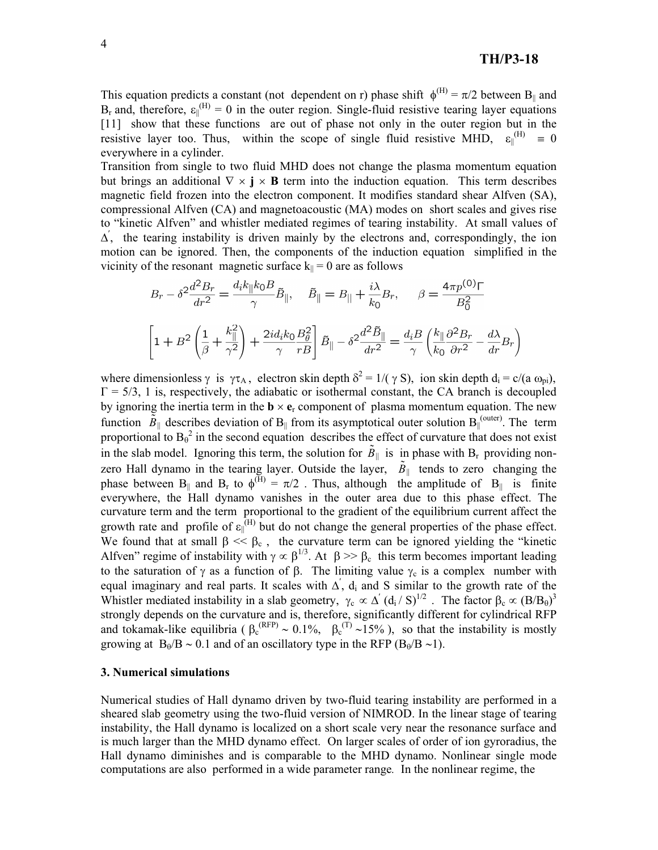This equation predicts a constant (not dependent on r) phase shift  $\phi^{(H)} = \pi/2$  between B<sub>||</sub> and  $B_r$  and, therefore,  $\varepsilon_{\parallel}^{(H)} = 0$  in the outer region. Single-fluid resistive tearing layer equations [11] show that these functions are out of phase not only in the outer region but in the resistive layer too. Thus, within the scope of single fluid resistive MHD,  $\varepsilon_{\parallel}^{(H)} = 0$ everywhere in a cylinder.

Transition from single to two fluid MHD does not change the plasma momentum equation but brings an additional  $\nabla \times \mathbf{j} \times \mathbf{B}$  term into the induction equation. This term describes magnetic field frozen into the electron component. It modifies standard shear Alfven (SA), compressional Alfven (CA) and magnetoacoustic (MA) modes on short scales and gives rise to "kinetic Alfven" and whistler mediated regimes of tearing instability. At small values of  $\Delta'$ , the tearing instability is driven mainly by the electrons and, correspondingly, the ion motion can be ignored. Then, the components of the induction equation simplified in the vicinity of the resonant magnetic surface  $k_{\parallel} = 0$  are as follows

$$
B_r - \delta^2 \frac{d^2 B_r}{dr^2} = \frac{d_i k_{\parallel} k_0 B}{\gamma} \tilde{B}_{\parallel}, \quad \tilde{B}_{\parallel} = B_{\parallel} + \frac{i\lambda}{k_0} B_r, \quad \beta = \frac{4\pi p^{(0)}\Gamma}{B_0^2}
$$

$$
\left[1 + B^2 \left(\frac{1}{\beta} + \frac{k_{\parallel}^2}{\gamma^2}\right) + \frac{2i d_i k_0}{\gamma} \frac{B_\theta^2}{r B}\right] \tilde{B}_{\parallel} - \delta^2 \frac{d^2 \tilde{B}_{\parallel}}{dr^2} = \frac{d_i B}{\gamma} \left(\frac{k_{\parallel} \partial^2 B_r}{k_0 \partial r^2} - \frac{d\lambda}{dr} B_r\right)
$$

where dimensionless  $\gamma$  is  $\gamma \tau_A$ , electron skin depth  $\delta^2 = 1/(\gamma S)$ , ion skin depth  $d_i = c/(a \omega_{pi})$ ,  $\Gamma = 5/3$ , 1 is, respectively, the adiabatic or isothermal constant, the CA branch is decoupled by ignoring the inertia term in the  $\mathbf{b} \times \mathbf{e}_r$  component of plasma momentum equation. The new function  $\overline{B}_{\parallel}$  describes deviation of B<sub>||</sub> from its asymptotical outer solution B<sub>||</sub><sup>(outer)</sup>. The term proportional to  $B_0^2$  in the second equation describes the effect of curvature that does not exist in the slab model. Ignoring this term, the solution for  $\tilde{B}_{\parallel}$  is in phase with B<sub>r</sub> providing nonzero Hall dynamo in the tearing layer. Outside the layer,  $\tilde{B}_{\parallel}$  tends to zero changing the phase between B<sub>||</sub> and B<sub>r</sub> to  $\phi^{(H)} = \pi/2$ . Thus, although the amplitude of B<sub>||</sub> is finite everywhere, the Hall dynamo vanishes in the outer area due to this phase effect. The curvature term and the term proportional to the gradient of the equilibrium current affect the growth rate and profile of  $\varepsilon_{\parallel}^{(H)}$  but do not change the general properties of the phase effect. We found that at small  $\beta \ll \beta_c$ , the curvature term can be ignored yielding the "kinetic Alfven" regime of instability with  $\gamma \propto \beta^{1/3}$ . At  $\beta \gg \beta_c$  this term becomes important leading to the saturation of  $\gamma$  as a function of  $\beta$ . The limiting value  $\gamma_c$  is a complex number with equal imaginary and real parts. It scales with  $\Delta'$ ,  $d_i$  and S similar to the growth rate of the Whistler mediated instability in a slab geometry,  $\gamma_c \propto \Delta' (d_i / S)^{1/2}$ . The factor  $\beta_c \propto (B/B_0)^3$ strongly depends on the curvature and is, therefore, significantly different for cylindrical RFP and tokamak-like equilibria ( $\beta_c^{(RFP)} \sim 0.1\%$ ,  $\beta_c^{(T)} \sim 15\%$ ), so that the instability is mostly growing at  $B_0/B \sim 0.1$  and of an oscillatory type in the RFP ( $B_0/B \sim 1$ ).

#### **3. Numerical simulations**

Numerical studies of Hall dynamo driven by two-fluid tearing instability are performed in a sheared slab geometry using the two-fluid version of NIMROD. In the linear stage of tearing instability, the Hall dynamo is localized on a short scale very near the resonance surface and is much larger than the MHD dynamo effect. On larger scales of order of ion gyroradius, the Hall dynamo diminishes and is comparable to the MHD dynamo. Nonlinear single mode computations are also performed in a wide parameter range*.* In the nonlinear regime, the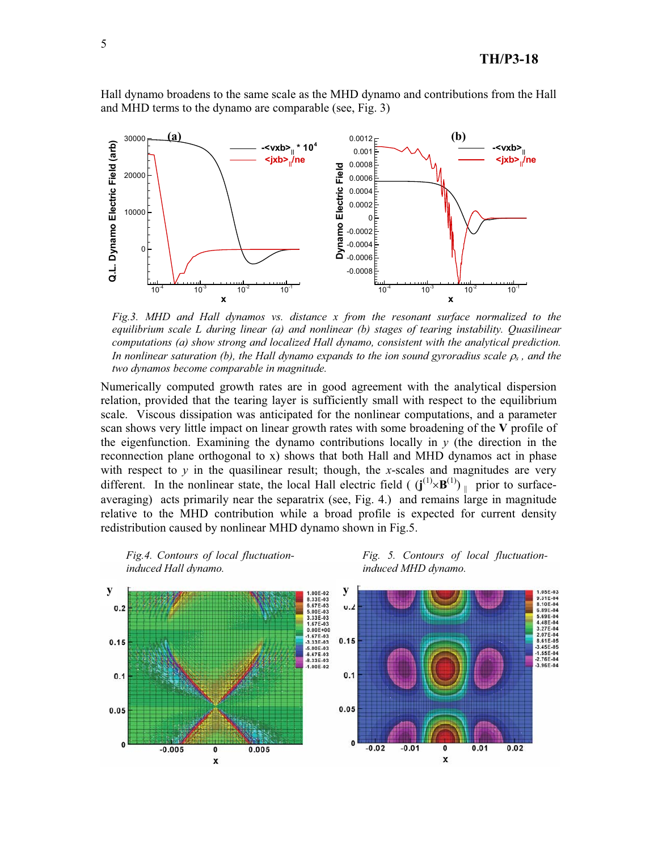Hall dynamo broadens to the same scale as the MHD dynamo and contributions from the Hall and MHD terms to the dynamo are comparable (see, Fig. 3)



*Fig.3. MHD and Hall dynamos vs. distance x from the resonant surface normalized to the equilibrium scale L during linear (a) and nonlinear (b) stages of tearing instability. Quasilinear computations (a) show strong and localized Hall dynamo, consistent with the analytical prediction. In nonlinear saturation (b), the Hall dynamo expands to the ion sound gyroradius scale*  $\rho_s$ *, and the two dynamos become comparable in magnitude.* 

Numerically computed growth rates are in good agreement with the analytical dispersion relation, provided that the tearing layer is sufficiently small with respect to the equilibrium scale. Viscous dissipation was anticipated for the nonlinear computations, and a parameter scan shows very little impact on linear growth rates with some broadening of the **V** profile of the eigenfunction. Examining the dynamo contributions locally in  $y$  (the direction in the reconnection plane orthogonal to x) shows that both Hall and MHD dynamos act in phase with respect to  $y$  in the quasilinear result; though, the  $x$ -scales and magnitudes are very different. In the nonlinear state, the local Hall electric field ( $(j^{(1)} \times B^{(1)})$  prior to surfaceaveraging) acts primarily near the separatrix (see, Fig. 4.) and remains large in magnitude relative to the MHD contribution while a broad profile is expected for current density redistribution caused by nonlinear MHD dynamo shown in Fig.5.







1.05E-03<br>9.31E-04<br>8.10E-04

6.89E-04

5.69E-04 4.48E-04 3.27F-04

3.45E-05  $1.55E - 04$ 

 $-3.96E - 04$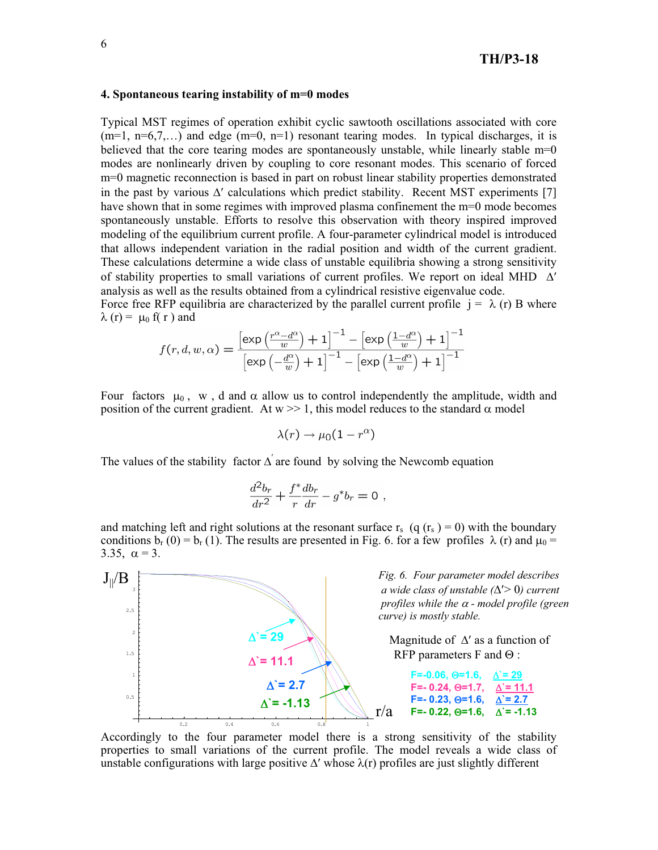## **4. Spontaneous tearing instability of m=0 modes**

Typical MST regimes of operation exhibit cyclic sawtooth oscillations associated with core  $(m=1, n=6,7,...)$  and edge  $(m=0, n=1)$  resonant tearing modes. In typical discharges, it is believed that the core tearing modes are spontaneously unstable, while linearly stable m=0 modes are nonlinearly driven by coupling to core resonant modes. This scenario of forced m=0 magnetic reconnection is based in part on robust linear stability properties demonstrated in the past by various  $\Delta'$  calculations which predict stability. Recent MST experiments [7] have shown that in some regimes with improved plasma confinement the m=0 mode becomes spontaneously unstable. Efforts to resolve this observation with theory inspired improved modeling of the equilibrium current profile. A four-parameter cylindrical model is introduced that allows independent variation in the radial position and width of the current gradient. These calculations determine a wide class of unstable equilibria showing a strong sensitivity of stability properties to small variations of current profiles. We report on ideal MHD  $\Delta'$ analysis as well as the results obtained from a cylindrical resistive eigenvalue code.

Force free RFP equilibria are characterized by the parallel current profile  $j = \lambda(r)$  B where  $\lambda$  (r) =  $\mu_0$  f( r ) and

$$
f(r, d, w, \alpha) = \frac{\left[\exp\left(\frac{r^{\alpha} - d^{\alpha}}{w}\right) + 1\right]^{-1} - \left[\exp\left(\frac{1 - d^{\alpha}}{w}\right) + 1\right]^{-1}}{\left[\exp\left(-\frac{d^{\alpha}}{w}\right) + 1\right]^{-1} - \left[\exp\left(\frac{1 - d^{\alpha}}{w}\right) + 1\right]^{-1}}
$$

Four factors  $\mu_0$ , w, d and  $\alpha$  allow us to control independently the amplitude, width and position of the current gradient. At  $w \ge 1$ , this model reduces to the standard  $\alpha$  model

$$
\lambda(r) \to \mu_0(1-r^{\alpha})
$$

The values of the stability factor  $\Delta'$  are found by solving the Newcomb equation

$$
\frac{d^2b_r}{dr^2} + \frac{f^*}{r}\frac{db_r}{dr} - g^*b_r = 0
$$

and matching left and right solutions at the resonant surface  $r_s$  (q  $(r_s) = 0$ ) with the boundary conditions  $b_r$  (0) =  $b_r$  (1). The results are presented in Fig. 6. for a few profiles  $\lambda$  (r) and  $\mu_0$  = 3.35,  $\alpha = 3$ .



Accordingly to the four parameter model there is a strong sensitivity of the stability properties to small variations of the current profile. The model reveals a wide class of unstable configurations with large positive  $\Delta'$  whose  $\lambda(r)$  profiles are just slightly different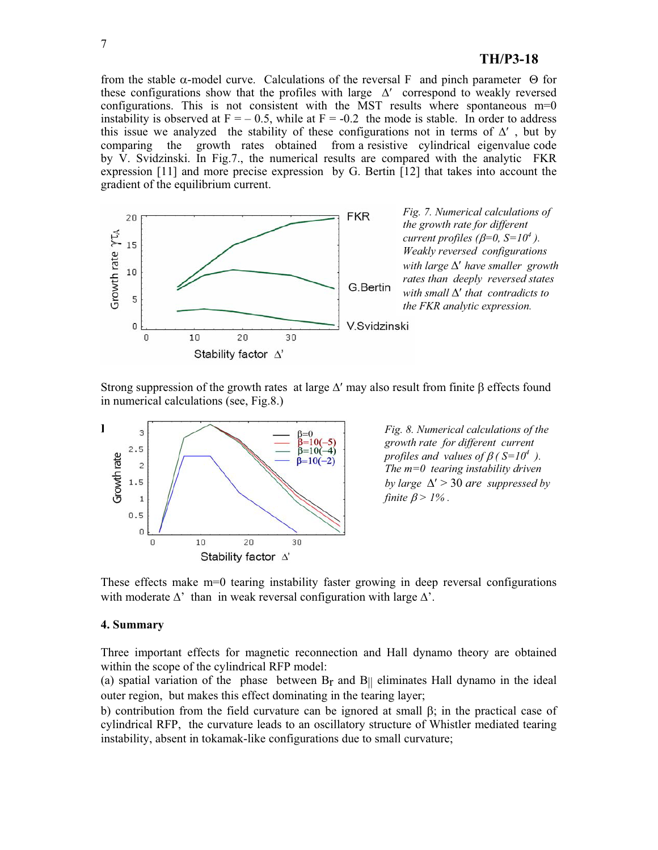from the stable  $\alpha$ -model curve. Calculations of the reversal F and pinch parameter  $\Theta$  for these configurations show that the profiles with large  $\Delta'$  correspond to weakly reversed configurations. This is not consistent with the MST results where spontaneous  $m=0$ instability is observed at  $F = -0.5$ , while at  $F = -0.2$  the mode is stable. In order to address this issue we analyzed the stability of these configurations not in terms of  $\Delta'$ , but by comparing the growth rates obtained from a resistive cylindrical eigenvalue code by  $\hat{V}$ . Svidzinski. In Fig.7., the numerical results are compared with the analytic FKR expression [11] and more precise expression by G. Bertin [12] that takes into account the gradient of the equilibrium current.



Strong suppression of the growth rates at large  $\Delta'$  may also result from finite  $\beta$  effects found in numerical calculations (see, Fig.8.)



*Fig. 8. Numerical calculations of the growth rate for different current profiles and values of*  $\beta$  *( S=10<sup>4</sup> ). The m=0 tearing instability driven by large*  $\Delta'$  > 30 *are suppressed by finite*  $\beta$  > 1%.

These effects make m=0 tearing instability faster growing in deep reversal configurations with moderate  $\Delta'$  than in weak reversal configuration with large  $\Delta'$ .

#### **4. Summary**

Three important effects for magnetic reconnection and Hall dynamo theory are obtained within the scope of the cylindrical RFP model:

(a) spatial variation of the phase between  $B_r$  and  $B_{\parallel}$  eliminates Hall dynamo in the ideal outer region, but makes this effect dominating in the tearing layer;

b) contribution from the field curvature can be ignored at small  $\beta$ ; in the practical case of cylindrical RFP, the curvature leads to an oscillatory structure of Whistler mediated tearing instability, absent in tokamak-like configurations due to small curvature;